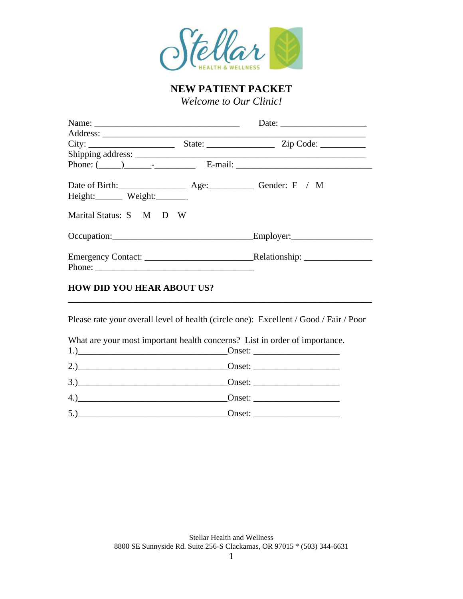

**NEW PATIENT PACKET** *Welcome to Our Clinic!*

| City:                   |  |
|-------------------------|--|
|                         |  |
|                         |  |
|                         |  |
| Height: Weight:         |  |
| Marital Status: S M D W |  |
|                         |  |
|                         |  |
|                         |  |

Please rate your overall level of health (circle one): Excellent / Good / Fair / Poor

\_\_\_\_\_\_\_\_\_\_\_\_\_\_\_\_\_\_\_\_\_\_\_\_\_\_\_\_\_\_\_\_\_\_\_\_\_\_\_\_\_\_\_\_\_\_\_\_\_\_\_\_\_\_\_\_\_\_\_\_\_\_\_\_\_\_\_

|  |  | What are your most important health concerns? List in order of importance. |  |  |
|--|--|----------------------------------------------------------------------------|--|--|
|--|--|----------------------------------------------------------------------------|--|--|

| 4.) <u>Conset:</u> Conset: <u>Conset:</u> Conset: 2018. |  |
|---------------------------------------------------------|--|
| $5.$ )                                                  |  |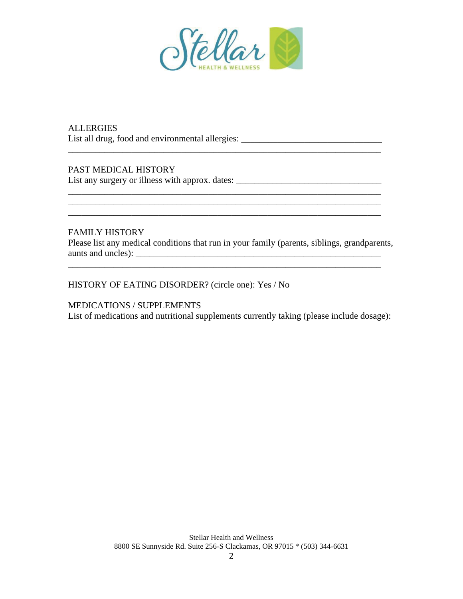

\_\_\_\_\_\_\_\_\_\_\_\_\_\_\_\_\_\_\_\_\_\_\_\_\_\_\_\_\_\_\_\_\_\_\_\_\_\_\_\_\_\_\_\_\_\_\_\_\_\_\_\_\_\_\_\_\_\_\_\_\_\_\_\_\_\_\_\_\_

\_\_\_\_\_\_\_\_\_\_\_\_\_\_\_\_\_\_\_\_\_\_\_\_\_\_\_\_\_\_\_\_\_\_\_\_\_\_\_\_\_\_\_\_\_\_\_\_\_\_\_\_\_\_\_\_\_\_\_\_\_\_\_\_\_\_\_\_\_

**ALLERGIES** List all drug, food and environmental allergies:

PAST MEDICAL HISTORY

List any surgery or illness with approx. dates: \_\_\_\_\_\_\_\_\_\_\_\_\_\_\_\_\_\_\_\_\_\_\_\_\_\_\_\_\_\_\_\_\_

### FAMILY HISTORY

Please list any medical conditions that run in your family (parents, siblings, grandparents, aunts and uncles): \_\_\_\_\_\_\_\_\_\_\_\_\_\_\_\_\_\_\_\_\_\_\_\_\_\_\_\_\_\_\_\_\_\_\_\_\_\_\_\_\_\_\_\_\_\_\_\_\_\_\_\_\_\_

HISTORY OF EATING DISORDER? (circle one): Yes / No

MEDICATIONS / SUPPLEMENTS

List of medications and nutritional supplements currently taking (please include dosage):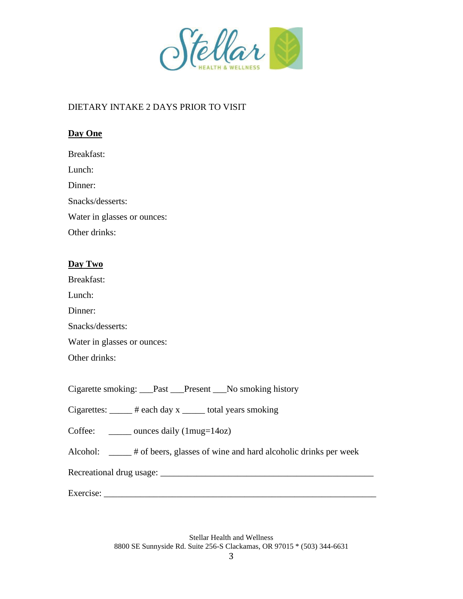

# DIETARY INTAKE 2 DAYS PRIOR TO VISIT

# **Day One**

| Breakfast:                  |  |
|-----------------------------|--|
| Lunch:                      |  |
|                             |  |
| Dinner:                     |  |
| Snacks/desserts:            |  |
| Water in glasses or ounces: |  |
| Other drinks:               |  |

# **Day Two**

Breakfast:

Lunch:

Dinner:

Snacks/desserts:

Water in glasses or ounces:

Other drinks:

Cigarette smoking: \_\_\_Past \_\_\_Present \_\_\_No smoking history

Cigarettes: \_\_\_\_\_ # each day x \_\_\_\_\_ total years smoking

Coffee: \_\_\_\_\_\_\_ ounces daily (1mug=14oz)

Alcohol: \_\_\_\_\_ # of beers, glasses of wine and hard alcoholic drinks per week

Recreational drug usage: \_\_\_\_\_\_\_\_\_\_\_\_\_\_\_\_\_\_\_\_\_\_\_\_\_\_\_\_\_\_\_\_\_\_\_\_\_\_\_\_\_\_\_\_\_\_\_

Exercise: \_\_\_\_\_\_\_\_\_\_\_\_\_\_\_\_\_\_\_\_\_\_\_\_\_\_\_\_\_\_\_\_\_\_\_\_\_\_\_\_\_\_\_\_\_\_\_\_\_\_\_\_\_\_\_\_\_\_\_\_

Stellar Health and Wellness 8800 SE Sunnyside Rd. Suite 256-S Clackamas, OR 97015 \* (503) 344-6631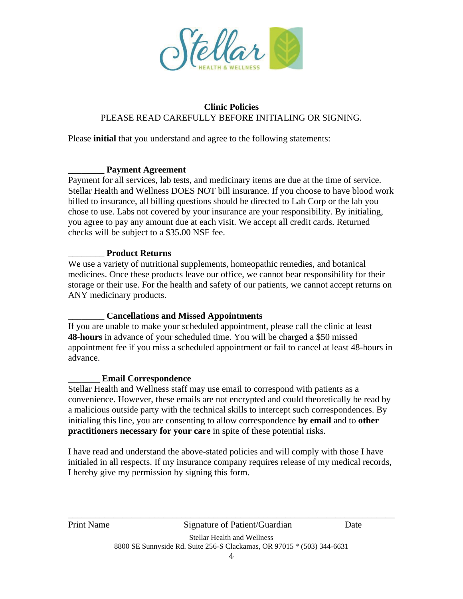

# **Clinic Policies** PLEASE READ CAREFULLY BEFORE INITIALING OR SIGNING.

Please **initial** that you understand and agree to the following statements:

#### \_\_\_\_\_\_\_\_ **Payment Agreement**

Payment for all services, lab tests, and medicinary items are due at the time of service. Stellar Health and Wellness DOES NOT bill insurance. If you choose to have blood work billed to insurance, all billing questions should be directed to Lab Corp or the lab you chose to use. Labs not covered by your insurance are your responsibility. By initialing, you agree to pay any amount due at each visit. We accept all credit cards. Returned checks will be subject to a \$35.00 NSF fee.

## \_\_\_\_\_\_\_\_ **Product Returns**

We use a variety of nutritional supplements, homeopathic remedies, and botanical medicines. Once these products leave our office, we cannot bear responsibility for their storage or their use. For the health and safety of our patients, we cannot accept returns on ANY medicinary products.

## \_\_\_\_\_\_\_\_ **Cancellations and Missed Appointments**

If you are unable to make your scheduled appointment, please call the clinic at least **48-hours** in advance of your scheduled time. You will be charged a \$50 missed appointment fee if you miss a scheduled appointment or fail to cancel at least 48-hours in advance.

## \_\_\_\_\_\_\_ **Email Correspondence**

Stellar Health and Wellness staff may use email to correspond with patients as a convenience. However, these emails are not encrypted and could theoretically be read by a malicious outside party with the technical skills to intercept such correspondences. By initialing this line, you are consenting to allow correspondence **by email** and to **other practitioners necessary for your care** in spite of these potential risks.

I have read and understand the above-stated policies and will comply with those I have initialed in all respects. If my insurance company requires release of my medical records, I hereby give my permission by signing this form.

\_\_\_\_\_\_\_\_\_\_\_\_\_\_\_\_\_\_\_\_\_\_\_\_\_\_\_\_\_\_\_\_\_\_\_\_\_\_\_\_\_\_\_\_\_\_\_\_\_\_\_\_\_\_\_\_\_\_\_\_\_\_\_\_\_\_\_\_\_\_\_\_ Print Name Signature of Patient/Guardian Date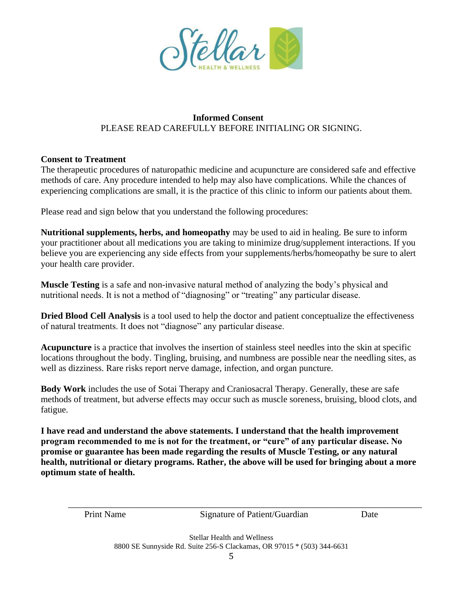

### **Informed Consent** PLEASE READ CAREFULLY BEFORE INITIALING OR SIGNING.

### **Consent to Treatment**

The therapeutic procedures of naturopathic medicine and acupuncture are considered safe and effective methods of care. Any procedure intended to help may also have complications. While the chances of experiencing complications are small, it is the practice of this clinic to inform our patients about them.

Please read and sign below that you understand the following procedures:

**Nutritional supplements, herbs, and homeopathy** may be used to aid in healing. Be sure to inform your practitioner about all medications you are taking to minimize drug/supplement interactions. If you believe you are experiencing any side effects from your supplements/herbs/homeopathy be sure to alert your health care provider.

**Muscle Testing** is a safe and non-invasive natural method of analyzing the body's physical and nutritional needs. It is not a method of "diagnosing" or "treating" any particular disease.

**Dried Blood Cell Analysis** is a tool used to help the doctor and patient conceptualize the effectiveness of natural treatments. It does not "diagnose" any particular disease.

**Acupuncture** is a practice that involves the insertion of stainless steel needles into the skin at specific locations throughout the body. Tingling, bruising, and numbness are possible near the needling sites, as well as dizziness. Rare risks report nerve damage, infection, and organ puncture.

**Body Work** includes the use of Sotai Therapy and Craniosacral Therapy. Generally, these are safe methods of treatment, but adverse effects may occur such as muscle soreness, bruising, blood clots, and fatigue.

**I have read and understand the above statements. I understand that the health improvement program recommended to me is not for the treatment, or "cure" of any particular disease. No promise or guarantee has been made regarding the results of Muscle Testing, or any natural health, nutritional or dietary programs. Rather, the above will be used for bringing about a more optimum state of health.** 

| <b>Print Name</b> | Signature of Patient/Guardian                                                                                   | Date |  |
|-------------------|-----------------------------------------------------------------------------------------------------------------|------|--|
|                   | the contract of the contract of the contract of the contract of the contract of the contract of the contract of |      |  |